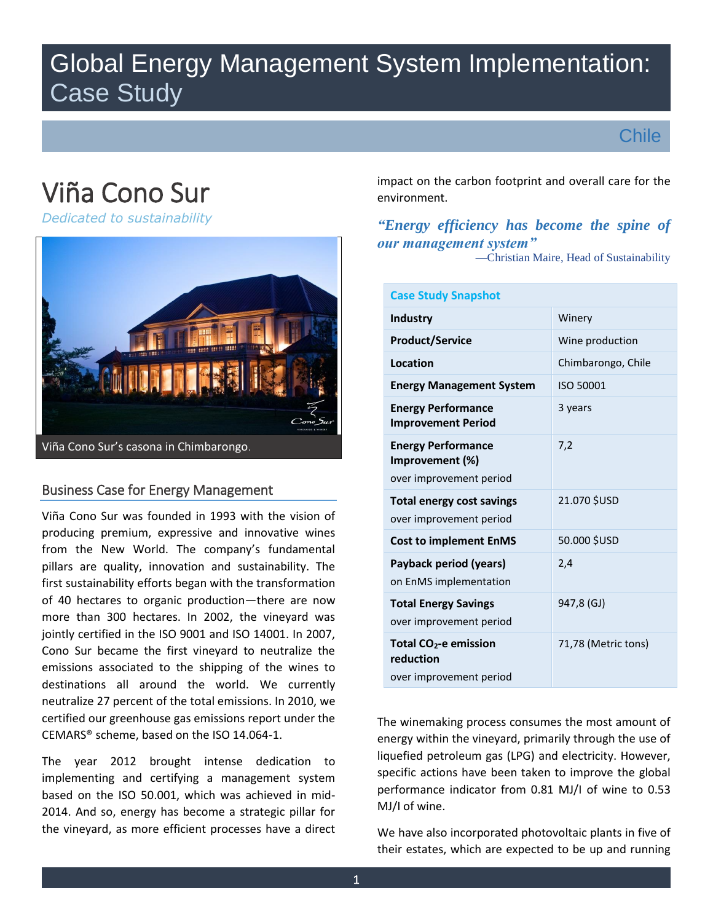# Global Energy Management System Implementation: Case Study



# Viña Cono Sur

*Dedicated to sustainability*



# Business Case for Energy Management

Viña Cono Sur was founded in 1993 with the vision of producing premium, expressive and innovative wines from the New World. The company's fundamental pillars are quality, innovation and sustainability. The first sustainability efforts began with the transformation of 40 hectares to organic production—there are now more than 300 hectares. In 2002, the vineyard was jointly certified in the ISO 9001 and ISO 14001. In 2007, Cono Sur became the first vineyard to neutralize the emissions associated to the shipping of the wines to destinations all around the world. We currently neutralize 27 percent of the total emissions. In 2010, we certified our greenhouse gas emissions report under the CEMARS® scheme, based on the ISO 14.064-1.

The year 2012 brought intense dedication to implementing and certifying a management system based on the ISO 50.001, which was achieved in mid-2014. And so, energy has become a strategic pillar for the vineyard, as more efficient processes have a direct impact on the carbon footprint and overall care for the environment.

# *"Energy efficiency has become the spine of our management system"* —Christian Maire, Head of Sustainability

| <b>Case Study Snapshot</b>                                                |                     |
|---------------------------------------------------------------------------|---------------------|
| <b>Industry</b>                                                           | Winery              |
| <b>Product/Service</b>                                                    | Wine production     |
| Location                                                                  | Chimbarongo, Chile  |
| <b>Energy Management System</b>                                           | ISO 50001           |
| <b>Energy Performance</b><br><b>Improvement Period</b>                    | 3 years             |
| <b>Energy Performance</b><br>Improvement (%)<br>over improvement period   | 7,2                 |
| <b>Total energy cost savings</b><br>over improvement period               | 21.070 SUSD         |
| <b>Cost to implement EnMS</b>                                             | 50.000 \$USD        |
| Payback period (years)<br>on EnMS implementation                          | 2,4                 |
| <b>Total Energy Savings</b><br>over improvement period                    | 947,8 (GJ)          |
| Total CO <sub>2</sub> -e emission<br>reduction<br>over improvement period | 71,78 (Metric tons) |

The winemaking process consumes the most amount of energy within the vineyard, primarily through the use of liquefied petroleum gas (LPG) and electricity. However, specific actions have been taken to improve the global performance indicator from 0.81 MJ/I of wine to 0.53 MJ/I of wine.

We have also incorporated photovoltaic plants in five of their estates, which are expected to be up and running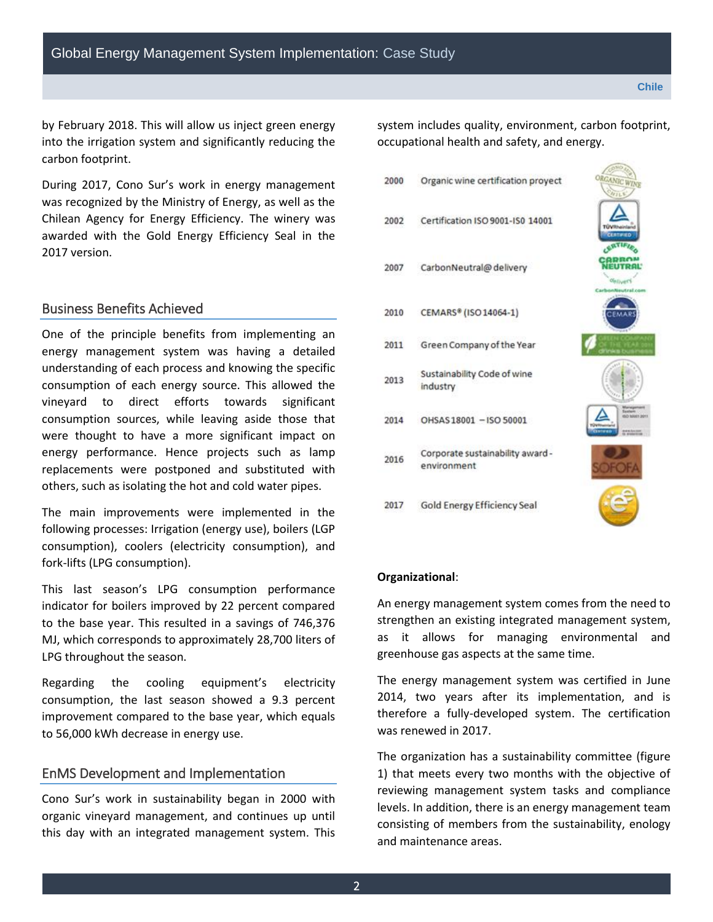by February 2018. This will allow us inject green energy into the irrigation system and significantly reducing the carbon footprint.

During 2017, Cono Sur's work in energy management was recognized by the Ministry of Energy, as well as the Chilean Agency for Energy Efficiency. The winery was awarded with the Gold Energy Efficiency Seal in the 2017 version.

# Business Benefits Achieved

One of the principle benefits from implementing an energy management system was having a detailed understanding of each process and knowing the specific consumption of each energy source. This allowed the vineyard to direct efforts towards significant consumption sources, while leaving aside those that were thought to have a more significant impact on energy performance. Hence projects such as lamp replacements were postponed and substituted with others, such as isolating the hot and cold water pipes.

The main improvements were implemented in the following processes: Irrigation (energy use), boilers (LGP consumption), coolers (electricity consumption), and fork-lifts (LPG consumption).

This last season's LPG consumption performance indicator for boilers improved by 22 percent compared to the base year. This resulted in a savings of 746,376 MJ, which corresponds to approximately 28,700 liters of LPG throughout the season.

Regarding the cooling equipment's electricity consumption, the last season showed a 9.3 percent improvement compared to the base year, which equals to 56,000 kWh decrease in energy use.

### EnMS Development and Implementation

Cono Sur's work in sustainability began in 2000 with organic vineyard management, and continues up until this day with an integrated management system. This system includes quality, environment, carbon footprint, occupational health and safety, and energy.

2000 Organic wine certification proyect Certification ISO 9001-ISO 14001 2002 2007 CarbonNeutral@delivery CEMARS® (ISO 14064-1) 2010 2011 Green Company of the Year Sustainability Code of wine 2013 industry 2014 OHSAS18001 - ISO 50001 Corporate sustainability award -2016 environment 2017 Gold Energy Efficiency Seal

#### **Organizational**:

An energy management system comes from the need to strengthen an existing integrated management system, as it allows for managing environmental and greenhouse gas aspects at the same time.

The energy management system was certified in June 2014, two years after its implementation, and is therefore a fully-developed system. The certification was renewed in 2017.

The organization has a sustainability committee (figure 1) that meets every two months with the objective of reviewing management system tasks and compliance levels. In addition, there is an energy management team consisting of members from the sustainability, enology and maintenance areas.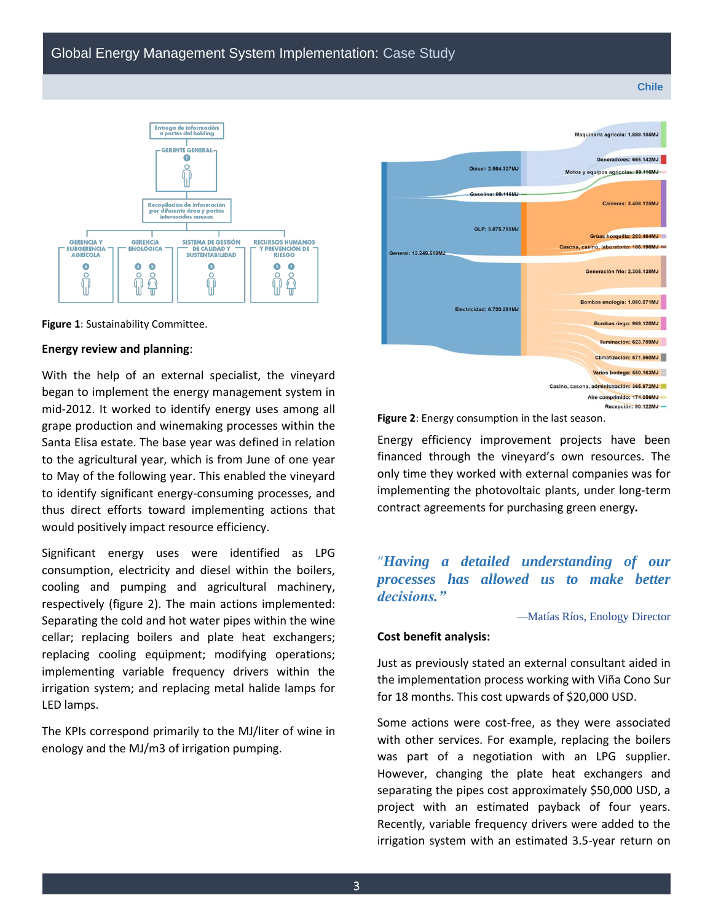#### **Chile**



**Figure 1**: Sustainability Committee.

#### **Energy review and planning**:

With the help of an external specialist, the vineyard began to implement the energy management system in mid-2012. It worked to identify energy uses among all grape production and winemaking processes within the Santa Elisa estate. The base year was defined in relation to the agricultural year, which is from June of one year to May of the following year. This enabled the vineyard to identify significant energy-consuming processes, and thus direct efforts toward implementing actions that would positively impact resource efficiency.

Significant energy uses were identified as LPG consumption, electricity and diesel within the boilers, cooling and pumping and agricultural machinery, respectively (figure 2). The main actions implemented: Separating the cold and hot water pipes within the wine cellar; replacing boilers and plate heat exchangers; replacing cooling equipment; modifying operations; implementing variable frequency drivers within the irrigation system; and replacing metal halide lamps for LED lamps.

The KPIs correspond primarily to the MJ/liter of wine in enology and the MJ/m3 of irrigation pumping.



**Figure 2**: Energy consumption in the last season.

Energy efficiency improvement projects have been financed through the vineyard's own resources. The only time they worked with external companies was for implementing the photovoltaic plants, under long-term contract agreements for purchasing green energy*.*

# "*Having a detailed understanding of our processes has allowed us to make better decisions."*

—Matías Ríos, Enology Director

#### **Cost benefit analysis:**

Just as previously stated an external consultant aided in the implementation process working with Viña Cono Sur for 18 months. This cost upwards of \$20,000 USD.

Some actions were cost-free, as they were associated with other services. For example, replacing the boilers was part of a negotiation with an LPG supplier. However, changing the plate heat exchangers and separating the pipes cost approximately \$50,000 USD, a project with an estimated payback of four years. Recently, variable frequency drivers were added to the irrigation system with an estimated 3.5-year return on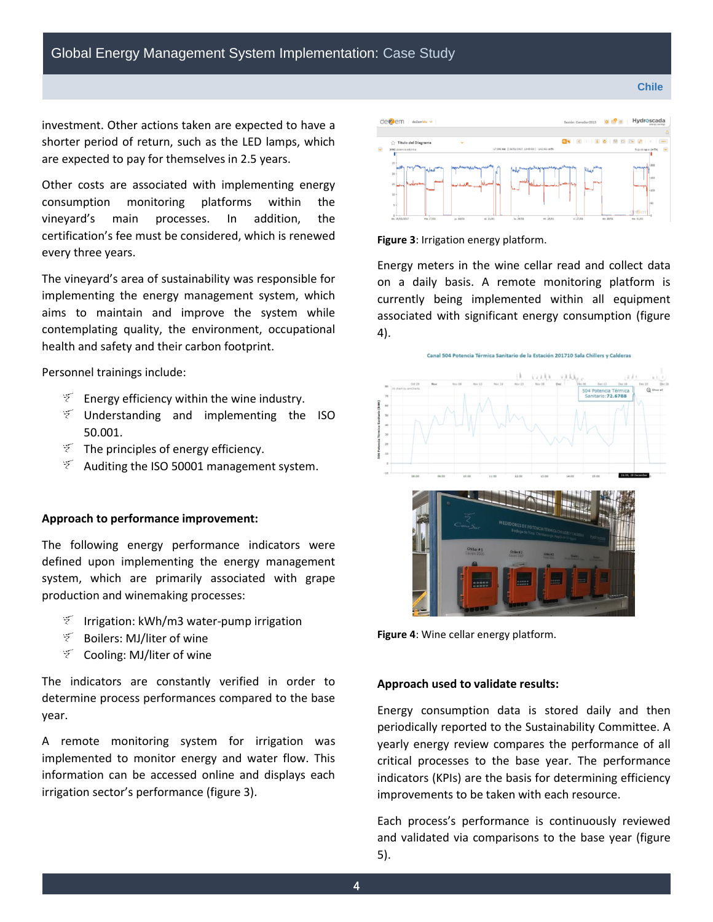investment. Other actions taken are expected to have a shorter period of return, such as the LED lamps, which are expected to pay for themselves in 2.5 years.

Other costs are associated with implementing energy consumption monitoring platforms within the vineyard's main processes. In addition, the certification's fee must be considered, which is renewed every three years.

The vineyard's area of sustainability was responsible for implementing the energy management system, which aims to maintain and improve the system while contemplating quality, the environment, occupational health and safety and their carbon footprint.

Personnel trainings include:

- $\mathbb{F}$  Energy efficiency within the wine industry.
- $\mathcal{F}$  Understanding and implementing the ISO 50.001.
- $\mathbb{F}$  The principles of energy efficiency.
- $\widetilde{z}$  Auditing the ISO 50001 management system.

#### **Approach to performance improvement:**

The following energy performance indicators were defined upon implementing the energy management system, which are primarily associated with grape production and winemaking processes:

- $\widetilde{z}$  Irrigation: kWh/m3 water-pump irrigation
- Boilers: MJ/liter of wine
- $\mathcal{F}$  Cooling: MJ/liter of wine

The indicators are constantly verified in order to determine process performances compared to the base year.

A remote monitoring system for irrigation was implemented to monitor energy and water flow. This information can be accessed online and displays each irrigation sector's performance (figure 3).



**Figure 3**: Irrigation energy platform.

Energy meters in the wine cellar read and collect data on a daily basis. A remote monitoring platform is currently being implemented within all equipment associated with significant energy consumption (figure 4).



**Figure 4**: Wine cellar energy platform.

#### **Approach used to validate results:**

Energy consumption data is stored daily and then periodically reported to the Sustainability Committee. A yearly energy review compares the performance of all critical processes to the base year. The performance indicators (KPIs) are the basis for determining efficiency improvements to be taken with each resource.

Each process's performance is continuously reviewed and validated via comparisons to the base year (figure 5).

**Chile**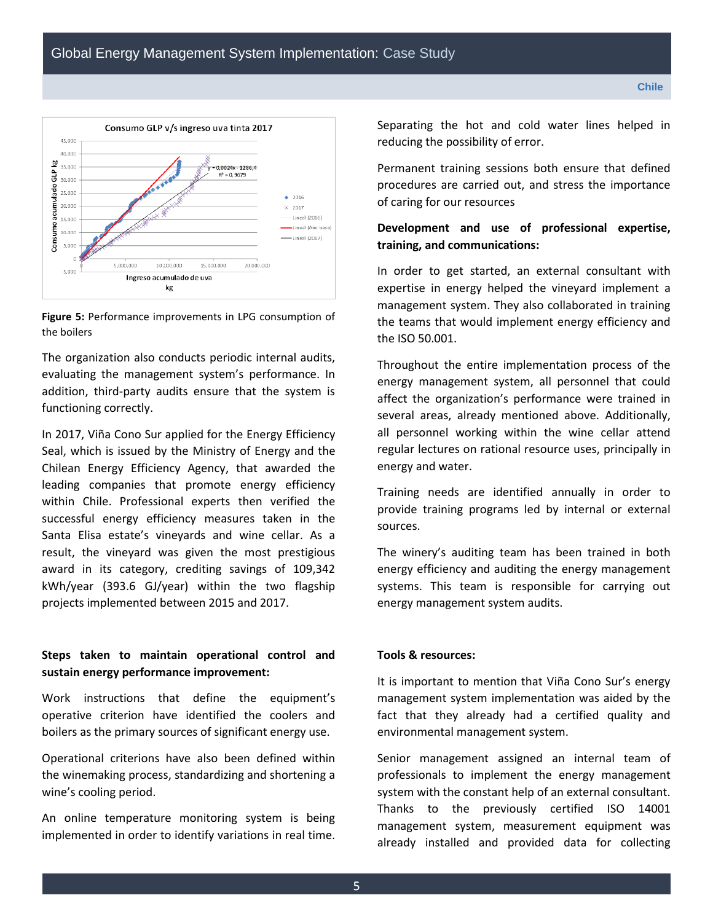



The organization also conducts periodic internal audits, evaluating the management system's performance. In addition, third-party audits ensure that the system is functioning correctly.

In 2017, Viña Cono Sur applied for the Energy Efficiency Seal, which is issued by the Ministry of Energy and the Chilean Energy Efficiency Agency, that awarded the leading companies that promote energy efficiency within Chile. Professional experts then verified the successful energy efficiency measures taken in the Santa Elisa estate's vineyards and wine cellar. As a result, the vineyard was given the most prestigious award in its category, crediting savings of 109,342 kWh/year (393.6 GJ/year) within the two flagship projects implemented between 2015 and 2017.

# **Steps taken to maintain operational control and sustain energy performance improvement:**

Work instructions that define the equipment's operative criterion have identified the coolers and boilers as the primary sources of significant energy use.

Operational criterions have also been defined within the winemaking process, standardizing and shortening a wine's cooling period.

An online temperature monitoring system is being implemented in order to identify variations in real time. Separating the hot and cold water lines helped in reducing the possibility of error.

Permanent training sessions both ensure that defined procedures are carried out, and stress the importance of caring for our resources

### **Development and use of professional expertise, training, and communications:**

In order to get started, an external consultant with expertise in energy helped the vineyard implement a management system. They also collaborated in training the teams that would implement energy efficiency and the ISO 50.001.

Throughout the entire implementation process of the energy management system, all personnel that could affect the organization's performance were trained in several areas, already mentioned above. Additionally, all personnel working within the wine cellar attend regular lectures on rational resource uses, principally in energy and water.

Training needs are identified annually in order to provide training programs led by internal or external sources.

The winery's auditing team has been trained in both energy efficiency and auditing the energy management systems. This team is responsible for carrying out energy management system audits.

#### **Tools & resources:**

It is important to mention that Viña Cono Sur's energy management system implementation was aided by the fact that they already had a certified quality and environmental management system.

Senior management assigned an internal team of professionals to implement the energy management system with the constant help of an external consultant. Thanks to the previously certified ISO 14001 management system, measurement equipment was already installed and provided data for collecting